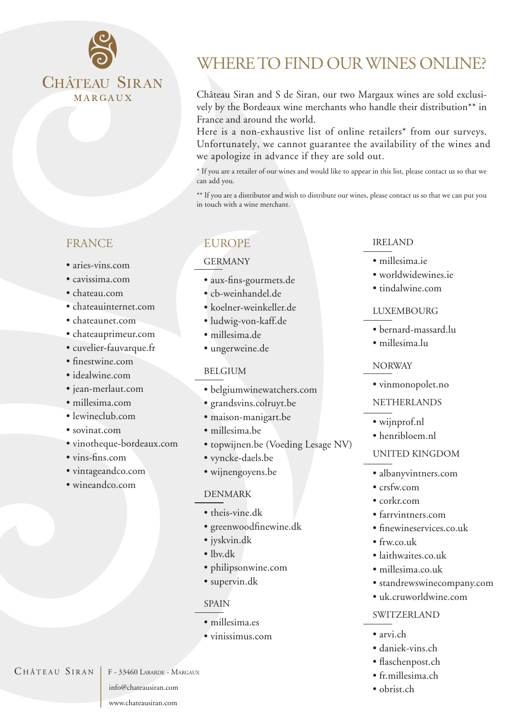

# **FRANCE**

- •aries-vins.com
- cavissima.com
- chateau.com
- chateauinternet.com
- chateaunet.com
- chateauprimeur.com
- cuvelier-fauvarque.fr
- finestwine.com
- idealwine.com
- jean-merlaut.com
- millesima.com
- lewineclub.com
- sovinat.com
- vinotheque-bordeaux.com
- vins-fins.com
- vintageandco.com
- wineandco.com

# WHERE TO FIND OUR WINES ONLINE?

Château Siran and S de Siran, our two Margaux wines are sold exclusively by the Bordeaux wine merchants who handle their distribution\*\* in France and around the world.

Here is a non-exhaustive list of online retailers\* from our surveys. Unfortunately, we cannot guarantee the availability of the wines and we apologize in advance if they are sold out.

\* If you are a retailer of our wines and would like to appear in this list, please contact us so that we can add you.

\*\* If you are a distributor and wish to distribute our wines, please contact us so that we can put you in touch with a wine merchant.

# **EUROPE**

#### GERMANY

- aux-fins-gourmets.de
- cb-weinhandel.de
- koelner-weinkeller.de
- ludwig-von-kaff.de
- millesima.de
- ungerweine.de

#### BELGIUM

- belgiumwinewatchers.com
- grandsvins.colruyt.be
- maison-manigart.be
- millesima.be
- topwijnen.be (Voeding Lesage NV)
- vyncke-daels.be
- wijnengoyens.be

#### DENMARK

- theis-vine.dk
- •greenwoodfinewine.dk
- jyskvin.dk
- lby.dk
- •philipsonwine.com
- supervin.dk

## SPAIN

- millesima.es
- vinissimus.com

# IRELAND

- millesima.ie
- worldwidewines.ie
- tindalwine.com

#### LUXEMBOURG

- •bernard-massard.lu
- •millesima.lu

#### NORWAY

• vinmonopolet.no

#### NETHERLANDS

- wijnprof.nl
- henribloem.nl

#### UNITED KINGDOM

- albanyvintners.com
- crsfw.com
- corkr.com
- farrvintners.com
- finewineservices.co.uk
- $\bullet$  frw.co.uk
- laithwaites.co.uk
- millesima.co.uk
- standrewswinecompany.com
- uk.cruworldwine.com

#### SWITZERLAND

- arvi.ch
- daniek-vins.ch
- flaschenpost.ch
- fr.millesima.ch
- obrist.ch

 $CH\hat{A}TEAU$   $SIRAN$   $F-33460$  Labarde - Margaux

info@chateausiran.com

www.chateausiran.com